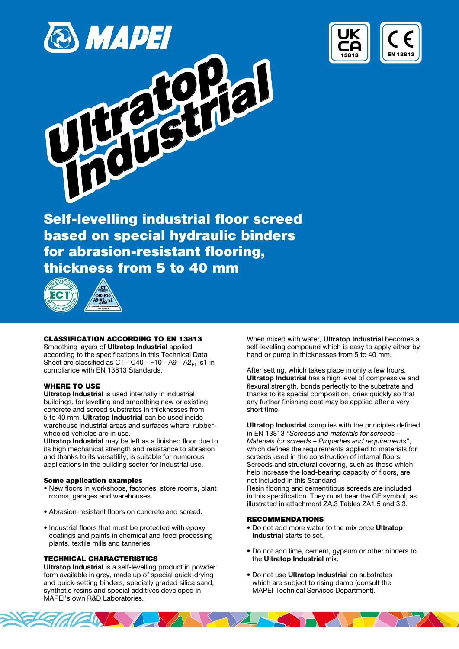



Self-levelling industrial floor screed based on special hydraulic binders for abrasion-resistant flooring, thickness from 5 to 40 mm



### CLASSIFICATION ACCORDING TO EN 13813

Smoothing layers of Ultratop Industrial applied according to the specifications in this Technical Data Sheet are classified as  $CT - C40 - F10 - A9 - A2<sub>F1</sub> - s1$  in compliance with EN 13813 Standards.

## WHERE TO USE

Ultratop Industrial is used internally in industrial buildings, for levelling and smoothing new or existing concrete and screed substrates in thicknesses from 5 to 40 mm. Ultratop Industrial can be used inside warehouse industrial areas and surfaces where rubberwheeled vehicles are in use.

Ultratop Industrial may be left as a finished floor due to its high mechanical strength and resistance to abrasion and thanks to its versatility, is suitable for numerous applications in the building sector for industrial use.

## Some application examples

- New floors in workshops, factories, store rooms, plant rooms, garages and warehouses.
- Abrasion-resistant floors on concrete and screed.
- Industrial floors that must be protected with epoxy coatings and paints in chemical and food processing plants, textile mills and tanneries.

## TECHNICAL CHARACTERISTICS

Ultratop Industrial is a self-levelling product in powder form available in grey, made up of special quick-drying and quick-setting binders, specially graded silica sand, synthetic resins and special additives developed in MAPEI's own R&D Laboratories.

When mixed with water, Ultratop Industrial becomes a self-levelling compound which is easy to apply either by hand or pump in thicknesses from 5 to 40 mm.

After setting, which takes place in only a few hours, Ultratop Industrial has a high level of compressive and flexural strength, bonds perfectly to the substrate and thanks to its special composition, dries quickly so that any further finishing coat may be applied after a very short time.

Ultratop Industrial complies with the principles defined in EN 13813 "Screeds and materials for screeds – Materials for screeds - Properties and requirements" which defines the requirements applied to materials for screeds used in the construction of internal floors. Screeds and structural covering, such as those which help increase the load-bearing capacity of floors, are not included in this Standard. Resin flooring and cementitious screeds are included in this specification. They must bear the CE symbol, as illustrated in attachment ZA.3 Tables ZA1.5 and 3.3.

#### RECOMMENDATIONS

- Do not add more water to the mix once Ultratop Industrial starts to set.
- Do not add lime, cement, gypsum or other binders to the Ultratop Industrial mix.
- Do not use Ultratop Industrial on substrates which are subject to rising damp (consult the MAPEI Technical Services Department).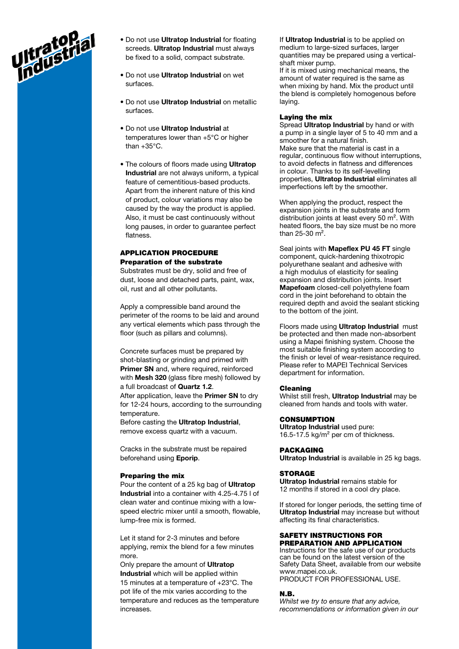

- Do not use Ultratop Industrial for floating screeds. Ultratop Industrial must always be fixed to a solid, compact substrate.
- Do not use Ultratop Industrial on wet surfaces.
- Do not use Ultratop Industrial on metallic surfaces.
- Do not use Ultratop Industrial at temperatures lower than +5°C or higher than +35°C.
- The colours of floors made using Ultratop Industrial are not always uniform, a typical feature of cementitious-based products. Apart from the inherent nature of this kind of product, colour variations may also be caused by the way the product is applied. Also, it must be cast continuously without long pauses, in order to guarantee perfect flatness.

# APPLICATION PROCEDURE Preparation of the substrate

Substrates must be dry, solid and free of dust, loose and detached parts, paint, wax, oil, rust and all other pollutants.

Apply a compressible band around the perimeter of the rooms to be laid and around any vertical elements which pass through the floor (such as pillars and columns).

Concrete surfaces must be prepared by shot-blasting or grinding and primed with Primer SN and, where required, reinforced with **Mesh 320** (glass fibre mesh) followed by a full broadcast of Quartz 1.2.

After application, leave the **Primer SN** to dry for 12-24 hours, according to the surrounding temperature.

Before casting the Ultratop Industrial, remove excess quartz with a vacuum.

Cracks in the substrate must be repaired beforehand using Eporip.

### Preparing the mix

Pour the content of a 25 kg bag of Ultratop Industrial into a container with 4.25-4.75 l of clean water and continue mixing with a lowspeed electric mixer until a smooth, flowable, lump-free mix is formed.

Let it stand for 2-3 minutes and before applying, remix the blend for a few minutes more.

Only prepare the amount of **Ultratop** Industrial which will be applied within 15 minutes at a temperature of +23°C. The pot life of the mix varies according to the temperature and reduces as the temperature increases.

If Ultratop Industrial is to be applied on medium to large-sized surfaces, larger quantities may be prepared using a verticalshaft mixer pump. If it is mixed using mechanical means, the amount of water required is the same as when mixing by hand. Mix the product until the blend is completely homogenous before laying.

### Laying the mix

Spread Ultratop Industrial by hand or with a pump in a single layer of 5 to 40 mm and a smoother for a natural finish. Make sure that the material is cast in a regular, continuous flow without interruptions, to avoid defects in flatness and differences in colour. Thanks to its self-levelling properties, Ultratop Industrial eliminates all imperfections left by the smoother.

When applying the product, respect the expansion joints in the substrate and form distribution joints at least every 50 m². With heated floors, the bay size must be no more than  $25-30$  m<sup>2</sup>.

Seal joints with Mapeflex PU 45 FT single component, quick-hardening thixotropic polyurethane sealant and adhesive with a high modulus of elasticity for sealing expansion and distribution joints. Insert Mapefoam closed-cell polyethylene foam cord in the joint beforehand to obtain the required depth and avoid the sealant sticking to the bottom of the joint.

Floors made using **Ultratop Industrial** must be protected and then made non-absorbent using a Mapei finishing system. Choose the most suitable finishing system according to the finish or level of wear-resistance required. Please refer to MAPEI Technical Services department for information.

#### Cleaning

Whilst still fresh, Ultratop Industrial may be cleaned from hands and tools with water.

### **CONSUMPTION**

Ultratop Industrial used pure: 16.5-17.5 kg/m² per cm of thickness.

# PACKAGING

Ultratop Industrial is available in 25 kg bags.

### **STORAGE**

Ultratop Industrial remains stable for 12 months if stored in a cool dry place.

If stored for longer periods, the setting time of Ultratop Industrial may increase but without affecting its final characteristics.

#### SAFETY INSTRUCTIONS FOR PREPARATION AND APPLICATION

Instructions for the safe use of our products can be found on the latest version of the Safety Data Sheet, available from our website www.mapei.co.uk. PRODUCT FOR PROFESSIONAL USE.

#### N.B.

Whilst we try to ensure that any advice, recommendations or information given in our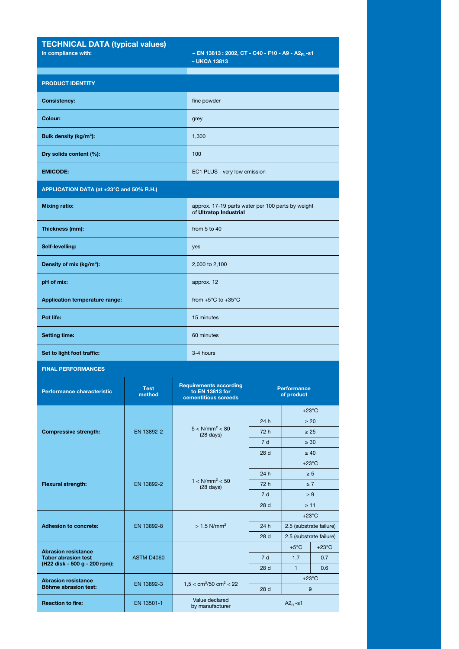| <b>TECHNICAL DATA (typical values)</b><br>In compliance with:                             |                       |                                                                          | - EN 13813 : 2002, CT - C40 - F10 - A9 - A2 <sub>FL</sub> -s1<br>$-$ UKCA 13813 |                                  |                                           |                        |
|-------------------------------------------------------------------------------------------|-----------------------|--------------------------------------------------------------------------|---------------------------------------------------------------------------------|----------------------------------|-------------------------------------------|------------------------|
| <b>PRODUCT IDENTITY</b>                                                                   |                       |                                                                          |                                                                                 |                                  |                                           |                        |
| <b>Consistency:</b>                                                                       |                       |                                                                          | fine powder                                                                     |                                  |                                           |                        |
| Colour:                                                                                   |                       |                                                                          | grey                                                                            |                                  |                                           |                        |
| Bulk density (kg/m <sup>3</sup> ):                                                        |                       |                                                                          | 1,300                                                                           |                                  |                                           |                        |
| Dry solids content (%):                                                                   |                       |                                                                          | 100                                                                             |                                  |                                           |                        |
| <b>EMICODE:</b>                                                                           |                       |                                                                          | EC1 PLUS - very low emission                                                    |                                  |                                           |                        |
| APPLICATION DATA (at +23°C and 50% R.H.)                                                  |                       |                                                                          |                                                                                 |                                  |                                           |                        |
| <b>Mixing ratio:</b>                                                                      |                       |                                                                          | approx. 17-19 parts water per 100 parts by weight<br>of Ultratop Industrial     |                                  |                                           |                        |
| Thickness (mm):                                                                           |                       |                                                                          | from 5 to 40                                                                    |                                  |                                           |                        |
| Self-levelling:                                                                           |                       |                                                                          | yes                                                                             |                                  |                                           |                        |
| Density of mix (kg/m <sup>3</sup> ):                                                      |                       |                                                                          | 2,000 to 2,100                                                                  |                                  |                                           |                        |
| pH of mix:                                                                                |                       |                                                                          | approx. 12                                                                      |                                  |                                           |                        |
| Application temperature range:                                                            |                       |                                                                          | from $+5^{\circ}$ C to $+35^{\circ}$ C                                          |                                  |                                           |                        |
| Pot life:                                                                                 |                       |                                                                          | 15 minutes                                                                      |                                  |                                           |                        |
| <b>Setting time:</b>                                                                      |                       |                                                                          | 60 minutes                                                                      |                                  |                                           |                        |
| Set to light foot traffic:                                                                |                       |                                                                          | 3-4 hours                                                                       |                                  |                                           |                        |
| <b>FINAL PERFORMANCES</b>                                                                 |                       |                                                                          |                                                                                 |                                  |                                           |                        |
| Performance characteristic                                                                | <b>Test</b><br>method | <b>Requirements according</b><br>to EN 13813 for<br>cementitious screeds |                                                                                 | <b>Performance</b><br>of product |                                           |                        |
| <b>Compressive strength:</b>                                                              | EN 13892-2            |                                                                          | $5 < N/mm^2 < 80$<br>$(28 \text{ days})$                                        |                                  | $+23^{\circ}$ C                           |                        |
|                                                                                           |                       |                                                                          |                                                                                 | 24h<br>72 h                      |                                           | $\geq 20$<br>$\geq 25$ |
|                                                                                           |                       |                                                                          |                                                                                 | 7d                               | $\geq 30$                                 |                        |
|                                                                                           |                       |                                                                          |                                                                                 | 28 d                             | $\geq 40$                                 |                        |
| <b>Flexural strength:</b>                                                                 | EN 13892-2            |                                                                          |                                                                                 |                                  | $+23^{\circ}$ C                           |                        |
|                                                                                           |                       |                                                                          | $1 < N/mm^2 < 50$<br>$(28 \text{ days})$                                        | 24 h<br>72 h                     | $\geq 5$<br>$\geq 7$                      |                        |
|                                                                                           |                       |                                                                          |                                                                                 | 7 d                              | $\geq 9$                                  |                        |
|                                                                                           |                       |                                                                          |                                                                                 | 28 <sub>d</sub>                  | $\geq 11$                                 |                        |
| <b>Adhesion to concrete:</b>                                                              | EN 13892-8            |                                                                          | $> 1.5$ N/mm <sup>2</sup>                                                       |                                  | $+23^{\circ}$ C                           |                        |
|                                                                                           |                       |                                                                          |                                                                                 | 24 h                             | 2.5 (substrate failure)                   |                        |
| <b>Abrasion resistance</b><br><b>Taber abrasion test</b><br>(H22 disk - 500 g - 200 rpm): | <b>ASTM D4060</b>     |                                                                          |                                                                                 | 28 <sub>d</sub>                  | 2.5 (substrate failure)<br>$+5^{\circ}$ C | $+23^{\circ}$ C        |
|                                                                                           |                       |                                                                          |                                                                                 | 7d                               | 1.7                                       | 0.7                    |
|                                                                                           |                       |                                                                          |                                                                                 | 28 <sub>d</sub>                  | $\mathbf{1}$                              | 0.6                    |
| <b>Abrasion resistance</b><br>Böhme abrasion test:                                        | EN 13892-3            | $1,5 < cm3/50 cm2 < 22$                                                  |                                                                                 | 28 <sub>d</sub>                  | $+23^{\circ}$ C<br>9                      |                        |
| <b>Reaction to fire:</b>                                                                  | EN 13501-1            |                                                                          | Value declared<br>by manufacturer                                               |                                  | $A2FI - S1$                               |                        |